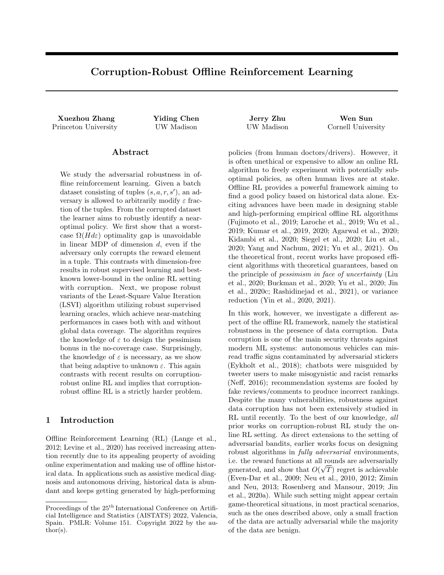# Corruption-Robust Offline Reinforcement Learning

Xuezhou Zhang Yiding Chen Jerry Zhu Wen Sun Princeton University **Later UW Madison** UW Madison Cornell University

#### Abstract

We study the adversarial robustness in offline reinforcement learning. Given a batch dataset consisting of tuples  $(s, a, r, s')$ , an adversary is allowed to arbitrarily modify  $\varepsilon$  fraction of the tuples. From the corrupted dataset the learner aims to robustly identify a nearoptimal policy. We first show that a worstcase  $\Omega(Hd\varepsilon)$  optimality gap is unavoidable in linear MDP of dimension d, even if the adversary only corrupts the reward element in a tuple. This contrasts with dimension-free results in robust supervised learning and bestknown lower-bound in the online RL setting with corruption. Next, we propose robust variants of the Least-Square Value Iteration (LSVI) algorithm utilizing robust supervised learning oracles, which achieve near-matching performances in cases both with and without global data coverage. The algorithm requires the knowledge of  $\varepsilon$  to design the pessimism bonus in the no-coverage case. Surprisingly, the knowledge of  $\varepsilon$  is necessary, as we show that being adaptive to unknown  $\varepsilon$ . This again contrasts with recent results on corruptionrobust online RL and implies that corruptionrobust offline RL is a strictly harder problem.

## 1 Introduction

Offline Reinforcement Learning (RL) (Lange et al., 2012; Levine et al., 2020) has received increasing attention recently due to its appealing property of avoiding online experimentation and making use of offline historical data. In applications such as assistive medical diagnosis and autonomous driving, historical data is abundant and keeps getting generated by high-performing

policies (from human doctors/drivers). However, it is often unethical or expensive to allow an online RL algorithm to freely experiment with potentially suboptimal policies, as often human lives are at stake. Offline RL provides a powerful framework aiming to find a good policy based on historical data alone. Exciting advances have been made in designing stable and high-performing empirical offline RL algorithms (Fujimoto et al., 2019; Laroche et al., 2019; Wu et al., 2019; Kumar et al., 2019, 2020; Agarwal et al., 2020; Kidambi et al., 2020; Siegel et al., 2020; Liu et al., 2020; Yang and Nachum, 2021; Yu et al., 2021). On the theoretical front, recent works have proposed efficient algorithms with theoretical guarantees, based on the principle of pessimism in face of uncertainty (Liu et al., 2020; Buckman et al., 2020; Yu et al., 2020; Jin et al., 2020c; Rashidinejad et al., 2021), or variance reduction (Yin et al., 2020, 2021).

In this work, however, we investigate a different aspect of the offline RL framework, namely the statistical robustness in the presence of data corruption. Data corruption is one of the main security threats against modern ML systems: autonomous vehicles can misread traffic signs contaminated by adversarial stickers (Eykholt et al., 2018); chatbots were misguided by tweeter users to make misogynistic and racist remarks (Neff, 2016); recommendation systems are fooled by fake reviews/comments to produce incorrect rankings. Despite the many vulnerabilities, robustness against data corruption has not been extensively studied in RL until recently. To the best of our knowledge, all prior works on corruption-robust RL study the online RL setting. As direct extensions to the setting of adversarial bandits, earlier works focus on designing robust algorithms in *fully adversarial* environments, i.e. the reward functions at all rounds are adversarially generated, and show that  $O(\sqrt{T})$  regret is achievable (Even-Dar et al., 2009; Neu et al., 2010, 2012; Zimin and Neu, 2013; Rosenberg and Mansour, 2019; Jin et al., 2020a). While such setting might appear certain game-theoretical situations, in most practical scenarios, such as the ones described above, only a small fraction of the data are actually adversarial while the majority of the data are benign.

Proceedings of the  $25<sup>th</sup>$  International Conference on Artificial Intelligence and Statistics (AISTATS) 2022, Valencia, Spain. PMLR: Volume 151. Copyright 2022 by the au- $\text{thor}(s)$ .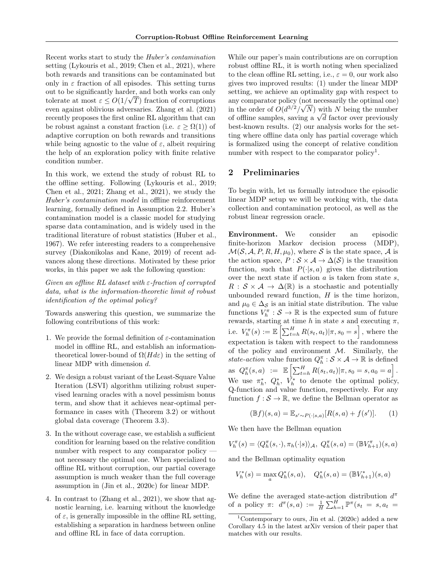Recent works start to study the Huber's contamination setting (Lykouris et al., 2019; Chen et al., 2021), where both rewards and transitions can be contaminated but only in  $\varepsilon$  fraction of all episodes. This setting turns out to be significantly harder, and both works can only √ tolerate at most  $\varepsilon \leq O(1/\sqrt{T})$  fraction of corruptions even against oblivious adversaries. Zhang et al. (2021) recently proposes the first online RL algorithm that can be robust against a constant fraction (i.e.  $\varepsilon > \Omega(1)$ ) of adaptive corruption on both rewards and transitions while being agnostic to the value of  $\varepsilon$ , albeit requiring the help of an exploration policy with finite relative condition number.

In this work, we extend the study of robust RL to the offline setting. Following (Lykouris et al., 2019; Chen et al., 2021; Zhang et al., 2021), we study the Huber's contamination model in offline reinforcement learning, formally defined in Assumption 2.2. Huber's contamination model is a classic model for studying sparse data contamination, and is widely used in the traditional literature of robust statistics (Huber et al., 1967). We refer interesting readers to a comprehensive survey (Diakonikolas and Kane, 2019) of recent advances along these directions. Motivated by these prior works, in this paper we ask the following question:

Given an offline RL dataset with  $\varepsilon$ -fraction of corrupted data, what is the information-theoretic limit of robust identification of the optimal policy?

Towards answering this question, we summarize the following contributions of this work:

- 1. We provide the formal definition of  $\varepsilon$ -contamination model in offline RL, and establish an informationtheoretical lower-bound of  $\Omega(Hd\varepsilon)$  in the setting of linear MDP with dimension d.
- 2. We design a robust variant of the Least-Square Value Iteration (LSVI) algorithm utilizing robust supervised learning oracles with a novel pessimism bonus term, and show that it achieves near-optimal performance in cases with (Theorem 3.2) or without global data coverage (Theorem 3.3).
- 3. In the without coverage case, we establish a sufficient condition for learning based on the relative condition number with respect to any comparator policy – not necessary the optimal one. When specialized to offline RL without corruption, our partial coverage assumption is much weaker than the full coverage assumption in (Jin et al., 2020c) for linear MDP.
- 4. In contrast to (Zhang et al., 2021), we show that agnostic learning, i.e. learning without the knowledge of  $\varepsilon$ , is generally impossible in the offline RL setting, establishing a separation in hardness between online and offline RL in face of data corruption.

While our paper's main contributions are on corruption robust offline RL, it is worth noting when specialized to the clean offline RL setting, i.e.,  $\varepsilon = 0$ , our work also gives two improved results: (1) under the linear MDP setting, we achieve an optimality gap with respect to any comparator policy (not necessarily the optimal one) in the order of  $O(d^{3/2}/\sqrt{N})$  with N being the number in the order of  $O(d^{\sigma/2}/\sqrt{N})$  with N being the number<br>of offline samples, saving a  $\sqrt{d}$  factor over previously best-known results. (2) our analysis works for the setting where offline data only has partial coverage which is formalized using the concept of relative condition number with respect to the comparator policy<sup>1</sup>.

#### 2 Preliminaries

To begin with, let us formally introduce the episodic linear MDP setup we will be working with, the data collection and contamination protocol, as well as the robust linear regression oracle.

Environment. We consider an episodic finite-horizon Markov decision process (MDP),  $\mathcal{M}(\mathcal{S}, \mathcal{A}, P, R, H, \mu_0)$ , where S is the state space, A is the action space,  $P : \mathcal{S} \times \mathcal{A} \rightarrow \Delta(\mathcal{S})$  is the transition function, such that  $P(\cdot|s, a)$  gives the distribution over the next state if action  $a$  is taken from state  $s$ ,  $R : \mathcal{S} \times \mathcal{A} \rightarrow \Delta(\mathbb{R})$  is a stochastic and potentially unbounded reward function,  $H$  is the time horizon, and  $\mu_0 \in \Delta_S$  is an initial state distribution. The value functions  $V_h^{\pi}: \mathcal{S} \to \mathbb{R}$  is the expected sum of future rewards, starting at time h in state s and executing  $\pi$ , i.e.  $V_h^{\pi}(s) := \mathbb{E}\left[\sum_{t=h}^H R(s_t, a_t) | \pi, s_0 = s\right]$ , where the expectation is taken with respect to the randomness of the policy and environment  $M$ . Similarly, the state-action value function  $Q_h^{\pi}: \mathcal{S} \times \mathcal{A} \to \mathbb{R}$  is defined as  $Q_h^{\pi}(s, a) := \mathbb{E} \left[ \sum_{t=h}^H R(s_t, a_t) | \pi, s_0 = s, a_0 = a \right].$ We use  $\pi_h^*$ ,  $Q_h^*$ ,  $\bar{V}_h^*$  to denote the optimal policy, Q-function and value function, respectively. For any function  $f : \mathcal{S} \to \mathbb{R}$ , we define the Bellman operator as

$$
(\mathbb{B}f)(s,a) = \mathbb{E}_{s' \sim P(\cdot|s,a)}[R(s,a) + f(s')]. \tag{1}
$$

We then have the Bellman equation

$$
V_h^{\pi}(s) = \langle Q_h^{\pi}(s,\cdot), \pi_h(\cdot|s) \rangle_{\mathcal{A}}, \ Q_h^{\pi}(s,a) = (\mathbb{B}V_{h+1}^{\pi})(s,a)
$$

and the Bellman optimality equation

$$
V_h^*(s) = \max_a Q_h^*(s, a), \quad Q_h^*(s, a) = (\mathbb{B} V_{h+1}^*) (s, a)
$$

We define the averaged state-action distribution  $d^{\pi}$ of a policy  $\pi$ :  $d^{\pi}(s, a) := \frac{1}{H} \sum_{h=1}^{H} \mathbb{P}^{\pi}(s_t = s, a_t)$ 

<sup>&</sup>lt;sup>1</sup>Contemporary to ours, Jin et al.  $(2020c)$  added a new Corollary 4.5 in the latest arXiv version of their paper that matches with our results.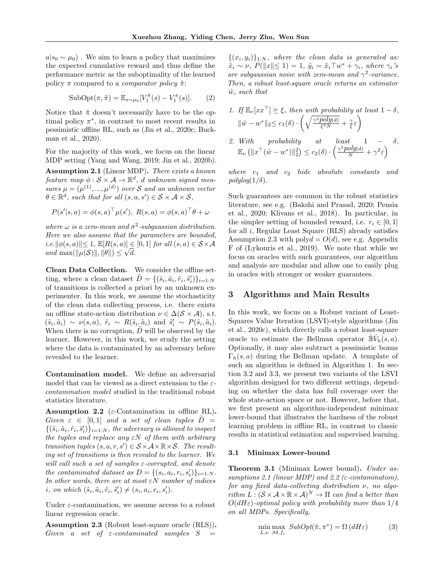$a|_{s_0} \sim \mu_0$ ). We aim to learn a policy that maximizes the expected cumulative reward and thus define the performance metric as the suboptimality of the learned policy  $\pi$  compared to a *comparator policy*  $\tilde{\pi}$ :

SubOpt
$$
(\pi, \tilde{\pi}) = \mathbb{E}_{s \sim \mu_0} [V_1^{\tilde{\pi}}(s) - V_1^{\pi}(s)].
$$
 (2)

Notice that  $\tilde{\pi}$  doesn't necessarily have to be the optimal policy  $\pi^*$ , in contrast to most recent results in pessimistic offline RL, such as (Jin et al., 2020c; Buckman et al., 2020).

For the majority of this work, we focus on the linear MDP setting (Yang and Wang, 2019; Jin et al., 2020b).

Assumption 2.1 (Linear MDP). There exists a known feature map  $\phi : \mathcal{S} \times \mathcal{A} \rightarrow \mathbb{R}^d$ , d unknown signed measures  $\mu = (\mu^{(1)}, ..., \mu^{(d)})$  over S and an unknown vector  $\theta \in \mathbb{R}^d$ , such that for all  $(s, a, s') \in \mathcal{S} \times \mathcal{A} \times \mathcal{S}$ ,

$$
P(s'|s, a) = \phi(s, a)^{\top} \mu(s'), R(s, a) = \phi(s, a)^{\top} \theta + \omega
$$

where  $\omega$  is a zero-mean and  $\sigma^2$ -subgaussian distribution. Here we also assume that the parameters are bounded,  $i.e. \|\phi(s, a)\| \leq 1, \mathbb{E}[R(s, a)] \in [0, 1]$  for all  $(s, a) \in S \times \mathcal{A}$ and  $\max(\|\mu(\mathcal{S})\|, \|\theta\|) \leq \sqrt{d}.$ 

Clean Data Collection. We consider the offline setting, where a clean dataset  $\tilde{D} = \{(\tilde{s}_i, \tilde{a}_i, \tilde{r}_i, \tilde{s}'_i)\}_{i=1:N}$ of transitions is collected a priori by an unknown experimenter. In this work, we assume the stochasticity of the clean data collecting process, i.e. there exists an offline state-action distribution  $\nu \in \Delta(\mathcal{S} \times \mathcal{A})$ , s.t.  $(\tilde{s}_i, \tilde{a}_i) \sim \nu(s, a), \ \tilde{r}_i \sim R(\tilde{s}_i, \tilde{a}_i) \text{ and } \tilde{s}'_i \sim P(\tilde{s}_i, \tilde{a}_i).$ When there is no corruption,  $D$  will be observed by the learner. However, in this work, we study the setting where the data is contaminated by an adversary before revealed to the learner.

Contamination model. We define an adversarial model that can be viewed as a direct extension to the  $\varepsilon$ contamination model studied in the traditional robust statistics literature.

Assumption 2.2 ( $\varepsilon$ -Contamination in offline RL). Given  $\varepsilon \in [0,1]$  and a set of clean tuples  $\tilde{D} =$  $\{(\tilde{s}_i, \tilde{a}_i, \tilde{r}_i, \tilde{s}'_i)\}_{i=1:N}$ , the adversary is allowed to inspect the tuples and replace any  $\epsilon N$  of them with arbitrary transition tuples  $(s, a, r, s') \in \mathcal{S} \times \mathcal{A} \times \mathbb{R} \times \mathcal{S}$ . The resulting set of transitions is then revealed to the learner. We will call such a set of samples  $\varepsilon$ -corrupted, and denote the contaminated dataset as  $D = \{(s_i, a_i, r_i, s'_i)\}_{i=1:N}$ . In other words, there are at most  $\varepsilon N$  number of indices i, on which  $(\tilde{s}_i, \tilde{a}_i, \tilde{r}_i, \tilde{s}'_i) \neq (s_i, a_i, r_i, s'_i)$ .

Under  $\varepsilon$ -contamination, we assume access to a robust linear regression oracle.

Assumption 2.3 (Robust least-square oracle (RLS)). Given a set of  $\varepsilon$ -contaminated samples  $S =$ 

 $\{(x_i, y_i)\}_{1:N}$ , where the clean data is generated as:  $\tilde{x}_i \sim \nu$ ,  $P(\Vert x \Vert \leq 1) = 1$ ,  $\tilde{y}_i = \tilde{x}_i \top w^* + \gamma_i$ , where  $\gamma_i$ 's are subgaussian noise with zero-mean and  $\gamma^2$ -variance. Then, a robust least-square oracle returns an estimator  $\hat{w}$ , such that

1. If 
$$
\mathbb{E}_{\nu}[xx^{\top}] \succeq \xi
$$
, then with probability at least  $1 - \delta$ ,  
\n $\|\hat{w} - w^*\|_2 \leq c_1(\delta) \cdot \left(\sqrt{\frac{\gamma^2 poly(d)}{\xi^2 N}} + \frac{\gamma}{\xi} \varepsilon\right)$   
\n2. With probability at least  $1 - \delta$ ,  
\n $\mathbb{E}_{\nu} (\|x^{\top}(\hat{w} - w^*)\|_2^2) \leq c_2(\delta) \cdot \left(\frac{\gamma^2 poly(d)}{N} + \gamma^2 \varepsilon\right)$ 

where  $c_1$  and  $c_2$  hide absolute constants and  $polylog(1/\delta)$ .

Such guarantees are common in the robust statistics literature, see e.g. (Bakshi and Prasad, 2020; Pensia et al., 2020; Klivans et al., 2018). In particular, in the simpler setting of bounded reward, i.e.  $r_i \in [0, 1]$ for all i, Regular Least Square (RLS) already satisfies Assumption 2.3 with poly $d = O(d)$ , see e.g. Appendix F of (Lykouris et al., 2019). We note that while we focus on oracles with such guarantees, our algorithm and analysis are modular and allow one to easily plug in oracles with stronger or weaker guarantees.

#### 3 Algorithms and Main Results

In this work, we focus on a Robust variant of Least-Squares Value Iteration (LSVI)-style algorithms (Jin et al., 2020c), which directly calls a robust least-square oracle to estimate the Bellman operator  $\hat{\mathbb{B}}\hat{V}_h(s,a)$ . Optionally, it may also subtract a pessimistic bonus  $\Gamma_h(s,a)$  during the Bellman update. A template of such an algorithm is defined in Algorithm 1. In section 3.2 and 3.3, we present two variants of the LSVI algorithm designed for two different settings, depending on whether the data has full coverage over the whole state-action space or not. However, before that, we first present an algorithm-independent minimax lower-bound that illustrates the hardness of the robust learning problem in offline RL, in contrast to classic results in statistical estimation and supervised learning.

#### 3.1 Minimax Lower-bound

**Theorem 3.1** (Minimax Lower bound). Under assumptions 2.1 (linear MDP) and 2.2 ( $\varepsilon$ -contamination), for any fixed data-collecting distribution  $\nu$ , no algo- $\text{rithm } L : (\mathcal{S} \times \mathcal{A} \times \mathbb{R} \times \mathcal{A})^N \to \Pi$  can find a better than  $O(dH\varepsilon)$ -optimal policy with probability more than  $1/4$ on all MDPs. Specifically,

$$
\min_{L,\nu} \max_{\mathcal{M},f_c} SubOpt(\hat{\pi}, \pi^*) = \Omega(dH\varepsilon)
$$
 (3)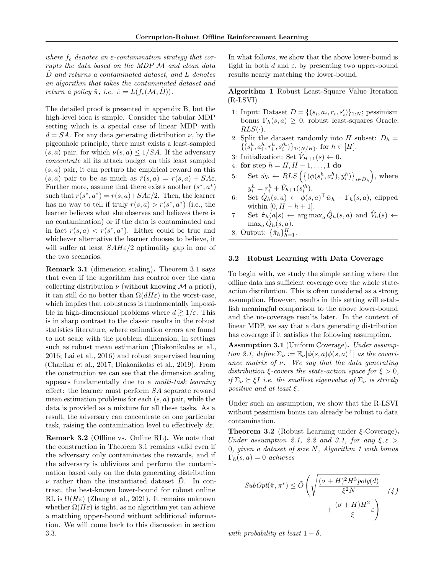where  $f_c$  denotes an  $\varepsilon$ -contamination strategy that corrupts the data based on the MDP M and clean data D and returns a contaminated dataset, and L denotes an algorithm that takes the contaminated dataset and return a policy  $\hat{\pi}$ , i.e.  $\hat{\pi} = L(f_c(\mathcal{M}, D)).$ 

The detailed proof is presented in appendix B, but the high-level idea is simple. Consider the tabular MDP setting which is a special case of linear MDP with  $d = SA$ . For any data generating distribution  $\nu$ , by the pigeonhole principle, there must exists a least-sampled  $(s, a)$  pair, for which  $\nu(s, a) \leq 1/SA$ . If the adversary concentrate all its attack budget on this least sampled  $(s, a)$  pair, it can perturb the empirical reward on this  $(s, a)$  pair to be as much as  $\hat{r}(s, a) = r(s, a) + SA\varepsilon$ . Further more, assume that there exists another  $(s^*, a^*)$ such that  $r(s^*, a^*) = r(s, a) + SA\varepsilon/2$ . Then, the learner has no way to tell if truly  $r(s, a) > r(s^*, a^*)$  (i.e., the learner believes what she observes and believes there is no contamination) or if the data is contaminated and in fact  $r(s, a) < r(s^*, a^*)$ . Either could be true and whichever alternative the learner chooses to believe, it will suffer at least  $SAH\epsilon/2$  optimality gap in one of the two scenarios.

Remark 3.1 (dimension scaling). Theorem 3.1 says that even if the algorithm has control over the data collecting distribution  $\nu$  (without knowing M a priori), it can still do no better than  $\Omega(dH\varepsilon)$  in the worst-case, which implies that robustness is fundamentally impossible in high-dimensional problems where  $d \geq 1/\varepsilon$ . This is in sharp contrast to the classic results in the robust statistics literature, where estimation errors are found to not scale with the problem dimension, in settings such as robust mean estimation (Diakonikolas et al., 2016; Lai et al., 2016) and robust supervised learning (Charikar et al., 2017; Diakonikolas et al., 2019). From the construction we can see that the dimension scaling appears fundamentally due to a multi-task learning effect: the learner must perform SA separate reward mean estimation problems for each  $(s, a)$  pair, while the data is provided as a mixture for all these tasks. As a result, the adversary can concentrate on one particular task, raising the contamination level to effectively  $d\varepsilon$ .

Remark 3.2 (Offline vs. Online RL). We note that the construction in Theorem 3.1 remains valid even if the adversary only contaminates the rewards, and if the adversary is oblivious and perform the contamination based only on the data generating distribution  $\nu$  rather than the instantiated dataset D. In contrast, the best-known lower-bound for robust online RL is  $\Omega(H\varepsilon)$  (Zhang et al., 2021). It remains unknown whether  $\Omega(H\varepsilon)$  is tight, as no algorithm yet can achieve a matching upper-bound without additional information. We will come back to this discussion in section 3.3.

In what follows, we show that the above lower-bound is tight in both d and  $\varepsilon$ , by presenting two upper-bound results nearly matching the lower-bound.

Algorithm 1 Robust Least-Square Value Iteration (R-LSVI)

- 1: Input: Dataset  $D = \{(s_i, a_i, r_i, s'_i)\}_{1:N}$ ; pessimism bonus  $\Gamma_h(s, a) \geq 0$ , robust least-squares Oracle:  $RLS(\cdot)$ .
- 2: Split the dataset randomly into H subset:  $D_h =$  $\{(s_i^h, a_i^h, r_i^h, s_i^{\prime h})\}_{1:(N/H)}$ , for  $h \in [H]$ .
- 3: Initialization: Set  $\hat{V}_{H+1}(s) \leftarrow 0$ .
- 4: for step  $h = H, H 1, ..., 1$  do
- 5: Set  $\hat{w}_h \leftarrow RLS\left( \{ (\phi(s_i^h, a_i^h), y_i^h) \}_{i \in D_h} \right)$ , where  $y_i^h = r_i^h + \hat{V}_{h+1}(s_i'^h).$
- 6: Set  $\hat{Q}_h(s, a) \leftarrow \phi(s, a)^\top \hat{w}_h \Gamma_h(s, a)$ , clipped within  $[0, H - h + 1]$ .
- 7: Set  $\hat{\pi}_h(a|s) \leftarrow \arg \max_a \hat{Q}_h(s, a)$  and  $\hat{V}_h(s) \leftarrow$  $\max_a \hat{Q}_h(s,a)$ .
- 8: Output:  $\{\hat{\pi}_h\}_{h=1}^H$ .

#### 3.2 Robust Learning with Data Coverage

To begin with, we study the simple setting where the offline data has sufficient coverage over the whole stateaction distribution. This is often considered as a strong assumption. However, results in this setting will establish meaningful comparison to the above lower-bound and the no-coverage results later. In the context of linear MDP, we say that a data generating distribution has coverage if it satisfies the following assumption.

Assumption 3.1 (Uniform Coverage). Under assumption 2.1, define  $\Sigma_{\nu} := \mathbb{E}_{\nu}[\phi(s, a)\phi(s, a)^{\top}]$  as the covariance matrix of  $\nu$ . We say that the data generating distribution  $\xi$ -covers the state-action space for  $\xi > 0$ , if  $\Sigma_{\nu} \succeq \xi I$  i.e. the smallest eigenvalue of  $\Sigma_{\nu}$  is strictly *positive and at least*  $\xi$ .

Under such an assumption, we show that the R-LSVI without pessimism bonus can already be robust to data contamination.

**Theorem 3.2** (Robust Learning under  $\xi$ -Coverage). Under assumption 2.1, 2.2 and 3.1, for any  $\xi, \varepsilon$ 0, given a dataset of size  $N$ , Algorithm 1 with bonus  $\Gamma_h(s,a) = 0$  achieves

$$
SubOpt(\hat{\pi}, \pi^*) \le \tilde{O}\left(\sqrt{\frac{(\sigma + H)^2 H^3 poly(d)}{\xi^2 N}} + \frac{(\sigma + H)H^2}{\xi}\varepsilon\right) \tag{4}
$$

with probability at least  $1 - \delta$ .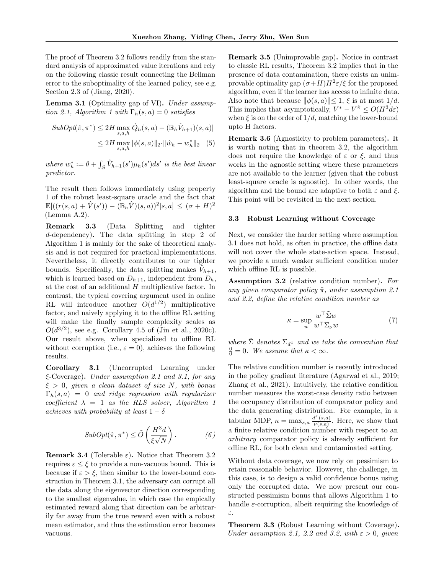The proof of Theorem 3.2 follows readily from the standard analysis of approximated value iterations and rely on the following classic result connecting the Bellman error to the suboptimality of the learned policy, see e.g. Section 2.3 of (Jiang, 2020).

**Lemma 3.1** (Optimality gap of VI). Under assumption 2.1, Algorithm 1 with  $\Gamma_h(s, a) = 0$  satisfies

$$
SubOpt(\hat{\pi}, \pi^*) \le 2H \max_{s, a, h} |\hat{Q}_h(s, a) - (\mathbb{B}_h \hat{V}_{h+1})(s, a)|
$$
  

$$
\le 2H \max_{s, a, h} ||\phi(s, a)||_2 \cdot ||\hat{w}_h - w_h^*||_2 \quad (5)
$$

where  $w_h^* := \theta + \int_{\mathcal{S}} \hat{V}_{h+1}(s') \mu_h(s') ds'$  is the best linear predictor.

The result then follows immediately using property 1 of the robust least-square oracle and the fact that  $\mathbb{E}[((r(s,a)+\hat{V}(s'))-(\mathbb{B}_h\hat{V})(s,a))^2|s,a] \leq (\sigma+H)^2$ (Lemma A.2).

Remark 3.3 (Data Splitting and tighter d-dependency). The data splitting in step 2 of Algorithm 1 is mainly for the sake of theoretical analysis and is not required for practical implementations. Nevertheless, it directly contributes to our tighter bounds. Specifically, the data splitting makes  $\tilde{V}_{h+1}$ , which is learned based on  $D_{h+1}$ , independent from  $D_h$ , at the cost of an additional  $H$  multiplicative factor. In contrast, the typical covering argument used in online RL will introduce another  $O(d^{1/2})$  multiplicative factor, and naively applying it to the offline RL setting will make the finally sample complexity scales as  $O(d^{3/2})$ , see e.g. Corollary 4.5 of (Jin et al., 2020c). Our result above, when specialized to offline RL without corruption (i.e.,  $\varepsilon = 0$ ), achieves the following results.

Corollary 3.1 (Uncorrupted Learning under  $\epsilon$ -Coverage). Under assumption 2.1 and 3.1, for any  $\xi > 0$ , given a clean dataset of size N, with bonus  $\Gamma_h(s, a) = 0$  and ridge regression with regularizer coefficient  $\lambda = 1$  as the RLS solver, Algorithm 1 achieves with probability at least  $1 - \delta$ 

$$
SubOpt(\hat{\pi}, \pi^*) \le \tilde{O}\left(\frac{H^3d}{\xi\sqrt{N}}\right). \tag{6}
$$

**Remark 3.4** (Tolerable  $\varepsilon$ ). Notice that Theorem 3.2 requires  $\varepsilon \leq \xi$  to provide a non-vacuous bound. This is because if  $\varepsilon > \xi$ , then similar to the lower-bound construction in Theorem 3.1, the adversary can corrupt all the data along the eigenvector direction corresponding to the smallest eigenvalue, in which case the empically estimated reward along that direction can be arbitrarily far away from the true reward even with a robust mean estimator, and thus the estimation error becomes vacuous.

Remark 3.5 (Unimprovable gap). Notice in contrast to classic RL results, Theorem 3.2 implies that in the presence of data contamination, there exists an unimprovable optimality gap  $(\sigma + H)H^2 \varepsilon/\xi$  for the proposed algorithm, even if the learner has access to infinite data. Also note that because  $\|\phi(s, a)\| \leq 1$ ,  $\xi$  is at most  $1/d$ . This implies that asymptotically,  $V^* - V^* \le O(H^3 d\varepsilon)$ when  $\xi$  is on the order of  $1/d$ , matching the lower-bound upto H factors.

Remark 3.6 (Agnosticity to problem parameters). It is worth noting that in theorem 3.2, the algorithm does not require the knowledge of  $\varepsilon$  or  $\xi$ , and thus works in the agnostic setting where these parameters are not available to the learner (given that the robust least-square oracle is agnostic). In other words, the algorithm and the bound are adaptive to both  $\varepsilon$  and  $\xi$ . This point will be revisited in the next section.

#### 3.3 Robust Learning without Coverage

Next, we consider the harder setting where assumption 3.1 does not hold, as often in practice, the offline data will not cover the whole state-action space. Instead, we provide a much weaker sufficient condition under which offline RL is possible.

Assumption 3.2 (relative condition number). For any given comparator policy  $\tilde{\pi}$ , under assumption 2.1 and 2.2, define the relative condition number as

$$
\kappa = \sup_{w} \frac{w^{\top} \tilde{\Sigma} w}{w^{\top} \Sigma_{\nu} w} \tag{7}
$$

where  $\tilde{\Sigma}$  denotes  $\Sigma_{d^{\tilde{\pi}}}$  and we take the convention that  $\frac{0}{0} = 0$ . We assume that  $\kappa < \infty$ .

The relative condition number is recently introduced in the policy gradient literature (Agarwal et al., 2019; Zhang et al., 2021). Intuitively, the relative condition number measures the worst-case density ratio between the occupancy distribution of comparator policy and the data generating distribution. For example, in a tabular MDP,  $\kappa = \max_{s,a} \frac{d^{\pi}(s,a)}{\nu(s,a)}$  $\frac{\partial u^{\alpha}(s,a)}{\partial u(s,a)}$ . Here, we show that a finite relative condition number with respect to an arbitrary comparator policy is already sufficient for offline RL, for both clean and contaminated setting.

Without data coverage, we now rely on pessimism to retain reasonable behavior. However, the challenge, in this case, is to design a valid confidence bonus using only the corrupted data. We now present our constructed pessimism bonus that allows Algorithm 1 to handle  $\varepsilon$ -corruption, albeit requiring the knowledge of ε.

Theorem 3.3 (Robust Learning without Coverage). Under assumption 2.1, 2.2 and 3.2, with  $\varepsilon > 0$ , given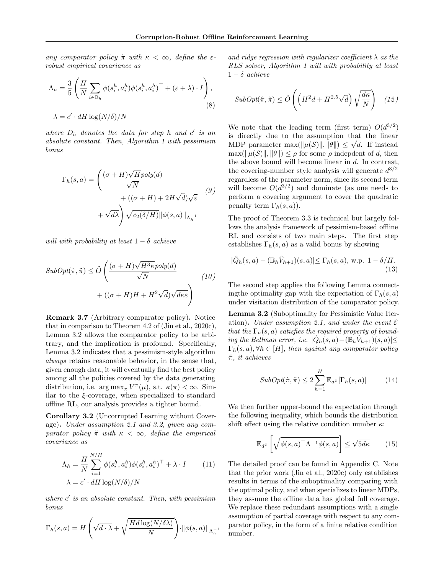any comparator policy  $\tilde{\pi}$  with  $\kappa < \infty$ , define the  $\varepsilon$ robust empirical covariance as

$$
\Lambda_h = \frac{3}{5} \left( \frac{H}{N} \sum_{i \in \mathbb{D}_h} \phi(s_i^h, a_i^h) \phi(s_i^h, a_i^h)^\top + (\varepsilon + \lambda) \cdot I \right),
$$
  

$$
\lambda = c' \cdot dH \log(N/\delta) / N
$$
 (8)

where  $D_h$  denotes the data for step h and  $c'$  is an absolute constant. Then, Algorithm 1 with pessimism bonus

$$
\Gamma_h(s, a) = \left(\frac{(\sigma + H)\sqrt{H} \text{poly}(d)}{\sqrt{N}} + ((\sigma + H) + 2H\sqrt{d})\sqrt{\varepsilon} \right)
$$
  
+  $\sqrt{d\lambda}$ 
$$
+ \sqrt{d\lambda} \left(\frac{\sqrt{c_2(\delta/H)}}{c_2(\delta/H)}\right) \left\|\phi(s, a)\right\|_{\Lambda_h^{-1}}
$$
(9)

will with probability at least  $1 - \delta$  achieve

$$
SubOpt(\hat{\pi}, \tilde{\pi}) \le \tilde{O}\left(\frac{(\sigma + H)\sqrt{H^3 \kappa} poly(d)}{\sqrt{N}} + ((\sigma + H)H + H^2 \sqrt{d})\sqrt{d\kappa \varepsilon}\right)
$$
\n(10)

Remark 3.7 (Arbitrary comparator policy). Notice that in comparison to Theorem 4.2 of (Jin et al., 2020c), Lemma 3.2 allows the comparator policy to be arbitrary, and the implication is profound. Specifically, Lemma 3.2 indicates that a pessimism-style algorithm always retains reasonable behavior, in the sense that, given enough data, it will eventually find the best policy among all the policies covered by the data generating distribution, i.e.  $\arg \max_{\pi} V^{\pi}(\mu)$ , s.t.  $\kappa(\pi) < \infty$ . Similar to the  $\xi$ -coverage, when specialized to standard offline RL, our analysis provides a tighter bound.

Corollary 3.2 (Uncorrupted Learning without Coverage). Under assumption 2.1 and 3.2, given any comparator policy  $\tilde{\pi}$  with  $\kappa < \infty$ , define the empirical covariance as

$$
\Lambda_h = \frac{H}{N} \sum_{i=1}^{N/H} \phi(s_i^h, a_i^h) \phi(s_i^h, a_i^h)^\top + \lambda \cdot I \qquad (11)
$$

$$
\lambda = c' \cdot dH \log(N/\delta)/N
$$

where  $c'$  is an absolute constant. Then, with pessimism bonus

$$
\Gamma_h(s, a) = H\left(\sqrt{d \cdot \lambda} + \sqrt{\frac{Hd \log(N/\delta \lambda)}{N}}\right) \cdot ||\phi(s, a)||_{\Lambda_h^{-1}}
$$

and ridge regression with regularizer coefficient  $\lambda$  as the RLS solver, Algorithm 1 will with probability at least  $1 - \delta$  achieve

$$
SubOpt(\hat{\pi}, \tilde{\pi}) \le \tilde{O}\left(\left(H^2d + H^{2.5}\sqrt{d}\right)\sqrt{\frac{d\kappa}{N}}\right) \quad (12)
$$

We note that the leading term (first term)  $O(d^{3/2})$ is directly due to the assumption that the linear MDP parameter max $(\|\mu(\mathcal{S})\|, \|\theta\|) \leq \sqrt{d}$ . If instead  $\max(\|\mu(\mathcal{S})\|, \|\theta\|) \leq \rho$  for some  $\rho$  indepdent of d, then the above bound will become linear in d. In contrast, the covering-number style analysis will generate  $d^{3/2}$ regardless of the parameter norm, since its second term will become  $O(d^{3/2})$  and dominate (as one needs to perform a covering argument to cover the quadratic penalty term  $\Gamma_h(s,a)$ ).

The proof of Theorem 3.3 is technical but largely follows the analysis framework of pessimism-based offline RL and consists of two main steps. The first step establishes  $\Gamma_h(s, a)$  as a valid bonus by showing

$$
|\hat{Q}_h(s,a) - (\mathbb{B}_h \hat{V}_{h+1})(s,a)| \le \Gamma_h(s,a), \text{ w.p. } 1 - \delta/H.
$$
\n(13)

The second step applies the following Lemma connecting the optimality gap with the expectation of  $\Gamma_h(s, a)$ under visitation distribution of the comparator policy.

Lemma 3.2 (Suboptimality for Pessimistic Value Iteration). Under assumption 2.1, and under the event  $\mathcal E$ that the  $\Gamma_h(s, a)$  satisfies the required property of bounding the Bellman error, i.e.  $|\hat{Q}_h(s,a) - (\mathbb{B}_h \hat{V}_{h+1})(s,a)| \leq$  $\Gamma_h(s, a), \forall h \in [H]$ , then against any comparator policy  $\tilde{\pi}$ , it achieves

$$
SubOpt(\hat{\pi}, \tilde{\pi}) \le 2 \sum_{h=1}^{H} \mathbb{E}_{d^{\tilde{\pi}}}[\Gamma_h(s, a)] \tag{14}
$$

We then further upper-bound the expectation through the following inequality, which bounds the distribution shift effect using the relative condition number  $\kappa$ :

$$
\mathbb{E}_{d^{\tilde{\pi}}} \left[ \sqrt{\phi(s, a)^{\top} \Lambda^{-1} \phi(s, a)} \right] \le \sqrt{5d\kappa} \qquad (15)
$$

The detailed proof can be found in Appendix C. Note that the prior work (Jin et al., 2020c) only establishes results in terms of the suboptimality comparing with the optimal policy, and when specializes to linear MDPs, they assume the offline data has global full coverage. We replace these redundant assumptions with a single assumption of partial coverage with respect to any comparator policy, in the form of a finite relative condition number.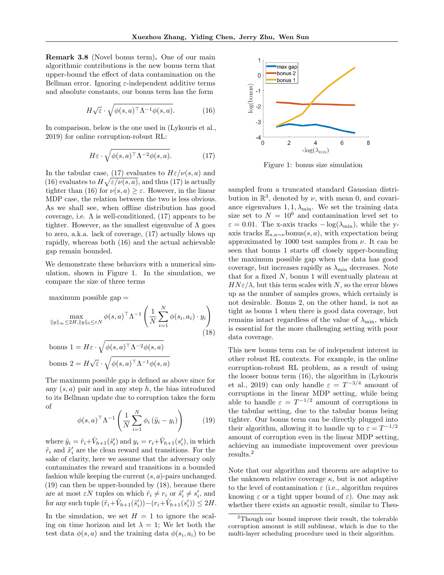Remark 3.8 (Novel bonus term). One of our main algorithmic contributions is the new bonus term that upper-bound the effect of data contamination on the Bellman error. Ignoring  $\varepsilon$ -independent additive terms and absolute constants, our bonus term has the form

$$
H\sqrt{\varepsilon} \cdot \sqrt{\phi(s,a)^\top \Lambda^{-1} \phi(s,a)}.\tag{16}
$$

In comparison, below is the one used in (Lykouris et al., 2019) for online corruption-robust RL:

$$
H\varepsilon \cdot \sqrt{\phi(s,a)^\top \Lambda^{-2} \phi(s,a)}.\tag{17}
$$

In the tabular case, (17) evaluates to  $H\varepsilon/\nu(s,a)$  and (16) evaluates to  $H\sqrt{\varepsilon/\nu(s,a)}$ , and thus (17) is actually tighter than (16) for  $\nu(s,a) \geq \varepsilon$ . However, in the linear MDP case, the relation between the two is less obvious. As we shall see, when offline distribution has good coverage, i.e.  $\Lambda$  is well-conditioned, (17) appears to be tighter. However, as the smallest eigenvalue of  $\Lambda$  goes to zero, a.k.a. lack of coverage, (17) actually blows up rapidly, whereas both (16) and the actual achievable gap remain bounded.

We demonstrate these behaviors with a numerical simulation, shown in Figure 1. In the simulation, we compare the size of three terms

 $maximum$  possible  $gap =$ 

$$
\max_{\|y\|_{\infty}\leq 2H, \|y\|_{0}\leq \varepsilon N} \phi(s, a)^{\top} \Lambda^{-1} \left(\frac{1}{N} \sum_{i=1}^{N} \phi(s_i, a_i) \cdot y_i\right)
$$
\n(18)

bonus  $1 = H\varepsilon \cdot \sqrt{\phi(s,a)^\top \Lambda^{-2} \phi(s,a)}$ bonus  $2 = H\sqrt{\varepsilon} \cdot \sqrt{\phi(s,a)^\top \Lambda^{-1} \phi(s,a)}$ 

The maximum possible gap is defined as above since for any  $(s, a)$  pair and in any step h, the bias introduced to its Bellman update due to corruption takes the form of

$$
\phi(s, a)^{\top} \Lambda^{-1} \left( \frac{1}{N} \sum_{i=1}^{N} \phi_i \left( \tilde{y}_i - y_i \right) \right) \tag{19}
$$

where  $\tilde{y}_i = \tilde{r}_i + \hat{V}_{h+1}(\tilde{s}'_i)$  and  $y_i = r_i + \hat{V}_{h+1}(s'_i)$ , in which  $\tilde{r}_i$  and  $\tilde{x}'_i$  are the clean reward and transitions. For the sake of clarity, here we assume that the adversary only contaminates the reward and transitions in a bounded fashion while keeping the current  $(s, a)$ -pairs unchanged. (19) can then be upper-bounded by (18), because there are at most  $\varepsilon N$  tuples on which  $\tilde{r}_i \neq r_i$  or  $\tilde{s}'_i \neq s'_i$ , and for any such tuple  $(\tilde{r}_i + \hat{V}_{h+1}(\tilde{s}'_i)) - (r_i + \hat{V}_{h+1}(s'_i)) \leq 2H$ .

In the simulation, we set  $H = 1$  to ignore the scaling on time horizon and let  $\lambda = 1$ ; We let both the test data  $\phi(s, a)$  and the training data  $\phi(s_i, a_i)$  to be



Figure 1: bonus size simulation

sampled from a truncated standard Gaussian distribution in  $\mathbb{R}^3$ , denoted by  $\nu$ , with mean 0, and covariance eigenvalues  $1, 1, \lambda_{\min}$ . We set the training data size set to  $N = 10^6$  and contamination level set to  $\varepsilon = 0.01$ . The x-axis tracks  $-\log(\lambda_{\min})$ , while the yaxis tracks  $\mathbb{E}_{s,a\sim \nu}$ bonus $(s,a)$ , with expectation being approximated by 1000 test samples from  $\nu$ . It can be seen that bonus 1 starts off closely upper-bounding the maximum possible gap when the data has good coverage, but increases rapidly as  $\lambda_{\min}$  decreases. Note that for a fixed  $N$ , bonus 1 will eventually plateau at  $H N \varepsilon/\lambda$ , but this term scales with N, so the error blows up as the number of samples grows, which certainly is not desirable. Bonus 2, on the other hand, is not as tight as bonus 1 when there is good data coverage, but remains intact regardless of the value of  $\lambda_{\min}$ , which is essential for the more challenging setting with poor data coverage.

This new bonus term can be of independent interest in other robust RL contexts. For example, in the online corruption-robust RL problem, as a result of using the looser bonus term (16), the algorithm in (Lykouris et al., 2019) can only handle  $\varepsilon = T^{-3/4}$  amount of corruptions in the linear MDP setting, while being able to handle  $\varepsilon = T^{-1/2}$  amount of corruptions in the tabular setting, due to the tabular bonus being tighter. Our bonus term can be directly plugged into their algorithm, allowing it to handle up to  $\varepsilon = T^{-1/2}$ amount of corruption even in the linear MDP setting, achieving an immediate improvement over previous results.<sup>2</sup>

Note that our algorithm and theorem are adaptive to the unknown relative coverage  $\kappa$ , but is not adaptive to the level of contamination  $\varepsilon$  (i.e., algorithm requires knowing  $\varepsilon$  or a tight upper bound of  $\varepsilon$ ). One may ask whether there exists an agnostic result, similar to Theo-

<sup>2</sup>Though our bound improve their result, the tolerable corruption amount is still sublinear, which is due to the multi-layer scheduling procedure used in their algorithm.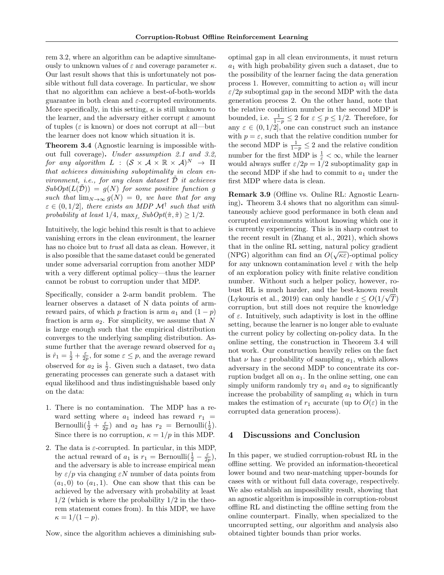rem 3.2, where an algorithm can be adaptive simultaneously to unknown values of  $\varepsilon$  and coverage parameter  $\kappa$ . Our last result shows that this is unfortunately not possible without full data coverage. In particular, we show that no algorithm can achieve a best-of-both-worlds guarantee in both clean and  $\varepsilon$ -corrupted environments. More specifically, in this setting,  $\kappa$  is still unknown to the learner, and the adversary either corrupt  $\varepsilon$  amount of tuples ( $\varepsilon$  is known) or does not corrupt at all—but the learner does not know which situation it is.

Theorem 3.4 (Agnostic learning is impossible without full coverage). Under assumption 2.1 and 3.2, for any algorithm  $L$  :  $(S \times A \times \mathbb{R} \times A)^N \rightarrow \Pi$ that achieves diminishing suboptimality in clean environment, i.e., for any clean dataset  $\tilde{\mathcal{D}}$  it achieves  $SubOpt(L(\tilde{\mathcal{D}})) = g(N)$  for some positive function g such that  $\lim_{N\to\infty} g(N) = 0$ , we have that for any  $\varepsilon \in (0, 1/2]$ , there exists an MDP  $\mathcal{M}^{\dagger}$  such that with probability at least  $1/4$ ,  $\max_{f_c} SubOpt(\hat{\pi}, \tilde{\pi}) \geq 1/2$ .

Intuitively, the logic behind this result is that to achieve vanishing errors in the clean environment, the learner has no choice but to *trust* all data as clean. However, it is also possible that the same dataset could be generated under some adversarial corruption from another MDP with a very different optimal policy—thus the learner cannot be robust to corruption under that MDP.

Specifically, consider a 2-arm bandit problem. The learner observes a dataset of N data points of armreward pairs, of which p fraction is arm  $a_1$  and  $(1 - p)$ fraction is arm  $a_2$ . For simplicity, we assume that N is large enough such that the empirical distribution converges to the underlying sampling distribution. Assume further that the average reward observed for  $a_1$ is  $\hat{r}_1 = \frac{1}{2} + \frac{\varepsilon}{2p}$ , for some  $\varepsilon \leq p$ , and the average reward observed for  $a_2$  is  $\frac{1}{2}$ . Given such a dataset, two data generating processes can generate such a dataset with equal likelihood and thus indistinguishable based only on the data:

- 1. There is no contamination. The MDP has a reward setting where  $a_1$  indeed has reward  $r_1$  = Bernoulli $(\frac{1}{2} + \frac{\varepsilon}{2p})$  and  $a_2$  has  $r_2 = \text{Bernoulli}(\frac{1}{2})$ . Since there is no corruption,  $\kappa = 1/p$  in this MDP.
- 2. The data is  $\varepsilon$ -corrupted. In particular, in this MDP, the actual reward of  $a_1$  is  $r_1 = \text{Bernoulli}(\frac{1}{2} - \frac{\varepsilon}{2p}),$ and the adversary is able to increase empirical mean by  $\varepsilon/p$  via changing  $\varepsilon N$  number of data points from  $(a_1, 0)$  to  $(a_1, 1)$ . One can show that this can be achieved by the adversary with probability at least  $1/2$  (which is where the probability  $1/2$  in the theorem statement comes from). In this MDP, we have  $\kappa = 1/(1-p).$

Now, since the algorithm achieves a diminishing sub-

optimal gap in all clean environments, it must return  $a_1$  with high probability given such a dataset, due to the possibility of the learner facing the data generation process 1. However, committing to action  $a_1$  will incur  $\varepsilon/2p$  suboptimal gap in the second MDP with the data generation process 2. On the other hand, note that the relative condition number in the second MDP is bounded, i.e.  $\frac{1}{1-p} \leq 2$  for  $\varepsilon \leq p \leq 1/2$ . Therefore, for any  $\varepsilon \in (0, 1/2]$ , one can construct such an instance with  $p = \varepsilon$ , such that the relative condition number for the second MDP is  $\frac{1}{1-p} \leq 2$  and the relative condition number for the first MDP is  $\frac{1}{\varepsilon} < \infty$ , while the learner would always suffer  $\varepsilon/2p = 1/2$  suboptimality gap in the second MDP if she had to commit to  $a_1$  under the first MDP where data is clean.

Remark 3.9 (Offline vs. Online RL: Agnostic Learning). Theorem 3.4 shows that no algorithm can simultaneously achieve good performance in both clean and corrupted environments without knowing which one it is currently experiencing. This is in sharp contrast to the recent result in (Zhang et al., 2021), which shows that in the online RL setting, natural policy gradient (NPG) algorithm can find an  $O(\sqrt{\kappa \varepsilon})$ -optimal policy for any unknown contamination level  $\varepsilon$  with the help of an exploration policy with finite relative condition number. Without such a helper policy, however, robust RL is much harder, and the best-known result (Lykouris et al., 2019) can only handle  $\varepsilon \leq O(1/\sqrt{T})$ corruption, but still does not require the knowledge of  $\varepsilon$ . Intuitively, such adaptivity is lost in the offline setting, because the learner is no longer able to evaluate the current policy by collecting on-policy data. In the online setting, the construction in Theorem 3.4 will not work. Our construction heavily relies on the fact that  $\nu$  has  $\varepsilon$  probability of sampling  $a_1$ , which allows adversary in the second MDP to concentrate its corruption budget all on  $a_1$ . In the online setting, one can simply uniform randomly try  $a_1$  and  $a_2$  to significantly increase the probability of sampling  $a_1$  which in turn makes the estimation of  $r_1$  accurate (up to  $O(\varepsilon)$ ) in the corrupted data generation process).

#### 4 Discussions and Conclusion

In this paper, we studied corruption-robust RL in the offline setting. We provided an information-theoretical lower bound and two near-matching upper-bounds for cases with or without full data coverage, respectively. We also establish an impossibility result, showing that an agnostic algorithm is impossible in corruption-robust offline RL and distincting the offline setting from the online counterpart. Finally, when specialized to the uncorrupted setting, our algorithm and analysis also obtained tighter bounds than prior works.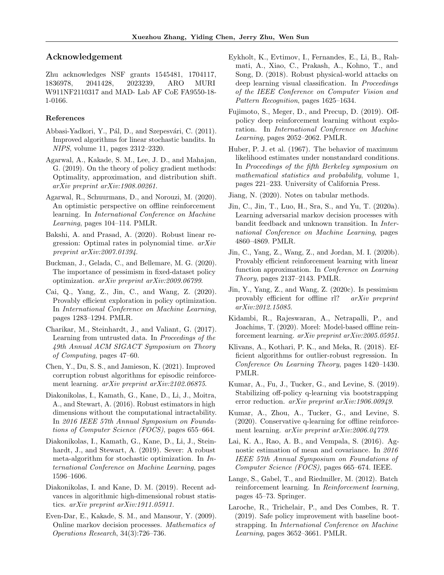## Acknowledgement

Zhu acknowledges NSF grants 1545481, 1704117, 1836978, 2041428, 2023239, ARO MURI W911NF2110317 and MAD- Lab AF CoE FA9550-18- 1-0166.

#### References

- Abbasi-Yadkori, Y., Pál, D., and Szepesvári, C. (2011). Improved algorithms for linear stochastic bandits. In NIPS, volume 11, pages 2312–2320.
- Agarwal, A., Kakade, S. M., Lee, J. D., and Mahajan, G. (2019). On the theory of policy gradient methods: Optimality, approximation, and distribution shift. arXiv preprint arXiv:1908.00261.
- Agarwal, R., Schuurmans, D., and Norouzi, M. (2020). An optimistic perspective on offline reinforcement learning. In International Conference on Machine Learning, pages 104–114. PMLR.
- Bakshi, A. and Prasad, A. (2020). Robust linear regression: Optimal rates in polynomial time. arXiv preprint arXiv:2007.01394.
- Buckman, J., Gelada, C., and Bellemare, M. G. (2020). The importance of pessimism in fixed-dataset policy optimization. arXiv preprint arXiv:2009.06799.
- Cai, Q., Yang, Z., Jin, C., and Wang, Z. (2020). Provably efficient exploration in policy optimization. In International Conference on Machine Learning, pages 1283–1294. PMLR.
- Charikar, M., Steinhardt, J., and Valiant, G. (2017). Learning from untrusted data. In Proceedings of the 49th Annual ACM SIGACT Symposium on Theory of Computing, pages 47–60.
- Chen, Y., Du, S. S., and Jamieson, K. (2021). Improved corruption robust algorithms for episodic reinforcement learning. arXiv preprint arXiv:2102.06875.
- Diakonikolas, I., Kamath, G., Kane, D., Li, J., Moitra, A., and Stewart, A. (2016). Robust estimators in high dimensions without the computational intractability. In 2016 IEEE 57th Annual Symposium on Foundations of Computer Science (FOCS), pages 655–664.
- Diakonikolas, I., Kamath, G., Kane, D., Li, J., Steinhardt, J., and Stewart, A. (2019). Sever: A robust meta-algorithm for stochastic optimization. In International Conference on Machine Learning, pages 1596–1606.
- Diakonikolas, I. and Kane, D. M. (2019). Recent advances in algorithmic high-dimensional robust statistics. arXiv preprint arXiv:1911.05911.
- Even-Dar, E., Kakade, S. M., and Mansour, Y. (2009). Online markov decision processes. Mathematics of Operations Research, 34(3):726–736.
- Eykholt, K., Evtimov, I., Fernandes, E., Li, B., Rahmati, A., Xiao, C., Prakash, A., Kohno, T., and Song, D. (2018). Robust physical-world attacks on deep learning visual classification. In Proceedings of the IEEE Conference on Computer Vision and Pattern Recognition, pages 1625–1634.
- Fujimoto, S., Meger, D., and Precup, D. (2019). Offpolicy deep reinforcement learning without exploration. In International Conference on Machine Learning, pages 2052–2062. PMLR.
- Huber, P. J. et al. (1967). The behavior of maximum likelihood estimates under nonstandard conditions. In Proceedings of the fifth Berkeley symposium on mathematical statistics and probability, volume 1, pages 221–233. University of California Press.
- Jiang, N. (2020). Notes on tabular methods.
- Jin, C., Jin, T., Luo, H., Sra, S., and Yu, T. (2020a). Learning adversarial markov decision processes with bandit feedback and unknown transition. In International Conference on Machine Learning, pages 4860–4869. PMLR.
- Jin, C., Yang, Z., Wang, Z., and Jordan, M. I. (2020b). Provably efficient reinforcement learning with linear function approximation. In Conference on Learning Theory, pages 2137–2143. PMLR.
- Jin, Y., Yang, Z., and Wang, Z. (2020c). Is pessimism provably efficient for offline rl? arXiv preprint arXiv:2012.15085.
- Kidambi, R., Rajeswaran, A., Netrapalli, P., and Joachims, T. (2020). Morel: Model-based offline reinforcement learning. arXiv preprint arXiv:2005.05951.
- Klivans, A., Kothari, P. K., and Meka, R. (2018). Efficient algorithms for outlier-robust regression. In Conference On Learning Theory, pages 1420–1430. PMLR.
- Kumar, A., Fu, J., Tucker, G., and Levine, S. (2019). Stabilizing off-policy q-learning via bootstrapping error reduction. arXiv preprint arXiv:1906.00949.
- Kumar, A., Zhou, A., Tucker, G., and Levine, S. (2020). Conservative q-learning for offline reinforcement learning. arXiv preprint arXiv:2006.04779.
- Lai, K. A., Rao, A. B., and Vempala, S. (2016). Agnostic estimation of mean and covariance. In 2016 IEEE 57th Annual Symposium on Foundations of Computer Science (FOCS), pages 665–674. IEEE.
- Lange, S., Gabel, T., and Riedmiller, M. (2012). Batch reinforcement learning. In Reinforcement learning, pages 45–73. Springer.
- Laroche, R., Trichelair, P., and Des Combes, R. T. (2019). Safe policy improvement with baseline bootstrapping. In International Conference on Machine Learning, pages 3652–3661. PMLR.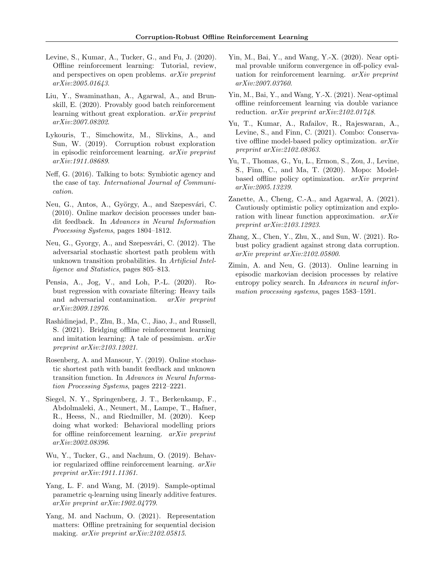- Levine, S., Kumar, A., Tucker, G., and Fu, J. (2020). Offline reinforcement learning: Tutorial, review, and perspectives on open problems. arXiv preprint arXiv:2005.01643.
- Liu, Y., Swaminathan, A., Agarwal, A., and Brunskill, E. (2020). Provably good batch reinforcement learning without great exploration. arXiv preprint arXiv:2007.08202.
- Lykouris, T., Simchowitz, M., Slivkins, A., and Sun, W. (2019). Corruption robust exploration in episodic reinforcement learning. arXiv preprint arXiv:1911.08689.
- Neff, G. (2016). Talking to bots: Symbiotic agency and the case of tay. International Journal of Communication.
- Neu, G., Antos, A., György, A., and Szepesvári, C. (2010). Online markov decision processes under bandit feedback. In Advances in Neural Information Processing Systems, pages 1804–1812.
- Neu, G., Gyorgy, A., and Szepesvári, C. (2012). The adversarial stochastic shortest path problem with unknown transition probabilities. In Artificial Intelligence and Statistics, pages 805–813.
- Pensia, A., Jog, V., and Loh, P.-L. (2020). Robust regression with covariate filtering: Heavy tails and adversarial contamination. arXiv preprint arXiv:2009.12976.
- Rashidinejad, P., Zhu, B., Ma, C., Jiao, J., and Russell, S. (2021). Bridging offline reinforcement learning and imitation learning: A tale of pessimism. arXiv preprint arXiv:2103.12021.
- Rosenberg, A. and Mansour, Y. (2019). Online stochastic shortest path with bandit feedback and unknown transition function. In Advances in Neural Information Processing Systems, pages 2212–2221.
- Siegel, N. Y., Springenberg, J. T., Berkenkamp, F., Abdolmaleki, A., Neunert, M., Lampe, T., Hafner, R., Heess, N., and Riedmiller, M. (2020). Keep doing what worked: Behavioral modelling priors for offline reinforcement learning. arXiv preprint arXiv:2002.08396.
- Wu, Y., Tucker, G., and Nachum, O. (2019). Behavior regularized offline reinforcement learning. arXiv preprint arXiv:1911.11361.
- Yang, L. F. and Wang, M. (2019). Sample-optimal parametric q-learning using linearly additive features. arXiv preprint arXiv:1902.04779.
- Yang, M. and Nachum, O. (2021). Representation matters: Offline pretraining for sequential decision making. arXiv preprint arXiv:2102.05815.
- Yin, M., Bai, Y., and Wang, Y.-X. (2020). Near optimal provable uniform convergence in off-policy evaluation for reinforcement learning. arXiv preprint arXiv:2007.03760.
- Yin, M., Bai, Y., and Wang, Y.-X. (2021). Near-optimal offline reinforcement learning via double variance reduction. arXiv preprint arXiv:2102.01748.
- Yu, T., Kumar, A., Rafailov, R., Rajeswaran, A., Levine, S., and Finn, C. (2021). Combo: Conservative offline model-based policy optimization. arXiv preprint arXiv:2102.08363.
- Yu, T., Thomas, G., Yu, L., Ermon, S., Zou, J., Levine, S., Finn, C., and Ma, T. (2020). Mopo: Modelbased offline policy optimization. arXiv preprint arXiv:2005.13239.
- Zanette, A., Cheng, C.-A., and Agarwal, A. (2021). Cautiously optimistic policy optimization and exploration with linear function approximation. arXiv preprint arXiv:2103.12923.
- Zhang, X., Chen, Y., Zhu, X., and Sun, W. (2021). Robust policy gradient against strong data corruption. arXiv preprint arXiv:2102.05800.
- Zimin, A. and Neu, G. (2013). Online learning in episodic markovian decision processes by relative entropy policy search. In Advances in neural information processing systems, pages 1583–1591.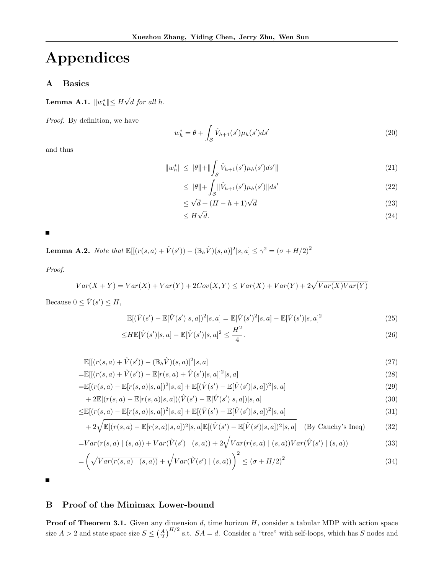# Appendices

## A Basics

Lemma A.1.  $||w_h^*|| \leq H$ √ d for all h.

Proof. By definition, we have

$$
w_h^* = \theta + \int_{\mathcal{S}} \hat{V}_{h+1}(s') \mu_h(s') ds' \tag{20}
$$

and thus

$$
||w_h^*|| \le ||\theta|| + ||\int_{\mathcal{S}} \hat{V}_{h+1}(s')\mu_h(s')ds'|| \tag{21}
$$

$$
\leq \|\theta\| + \int_{\mathcal{S}} \|\hat{V}_{h+1}(s')\mu_h(s')\|ds' \tag{22}
$$

$$
\leq \sqrt{d} + (H - h + 1)\sqrt{d} \tag{23}
$$

$$
\leq H\sqrt{d}.\tag{24}
$$

 $\blacksquare$ 

**Lemma A.2.** Note that  $\mathbb{E}[[(r(s, a) + \hat{V}(s')) - (\mathbb{B}_h \hat{V})(s, a)]^2 | s, a] \leq \gamma^2 = (\sigma + H/2)^2$ 

Proof.

$$
Var(X + Y) = Var(X) + Var(Y) + 2Cov(X, Y) \leq Var(X) + Var(Y) + 2\sqrt{Var(X)Var(Y)}
$$

Because  $0 \leq \hat{V}(s') \leq H$ ,

$$
\mathbb{E}[(\hat{V}(s') - \mathbb{E}[\hat{V}(s')|s,a])^{2}|s,a] = \mathbb{E}[\hat{V}(s')^{2}|s,a] - \mathbb{E}[\hat{V}(s')|s,a]^{2}
$$
\n(25)

$$
\leq H\mathbb{E}[\hat{V}(s')|s,a] - \mathbb{E}[\hat{V}(s')|s,a]^2 \leq \frac{H^2}{4}.
$$
\n(26)

$$
\mathbb{E}[[(r(s,a) + \hat{V}(s')) - (\mathbb{B}_h \hat{V})(s,a)]^2 | s,a]
$$
\n(27)

$$
= \mathbb{E}[[ (r(s, a) + \hat{V}(s')) - \mathbb{E}[r(s, a) + \hat{V}(s') | s, a]]^2 | s, a]
$$
\n(28)

$$
= \mathbb{E}[(r(s,a) - \mathbb{E}[r(s,a)|s,a])^{2}|s,a] + \mathbb{E}[(\hat{V}(s') - \mathbb{E}[\hat{V}(s')|s,a])^{2}|s,a]
$$
\n(29)

+ 
$$
2\mathbb{E}[(r(s,a) - \mathbb{E}[r(s,a)|s,a])(\hat{V}(s') - \mathbb{E}[\hat{V}(s')|s,a])|s,a]
$$
 (30)

$$
\leq \mathbb{E}[(r(s,a) - \mathbb{E}[r(s,a)|s,a])^{2}|s,a] + \mathbb{E}[(\hat{V}(s') - \mathbb{E}[\hat{V}(s')|s,a])^{2}|s,a]
$$
\n(31)

$$
+2\sqrt{\mathbb{E}[(r(s,a)-\mathbb{E}[r(s,a)|s,a])^{2}|s,a]\mathbb{E}[(\hat{V}(s')-\mathbb{E}[\hat{V}(s')|s,a])^{2}|s,a]} \quad \text{(By Cauchy's Ineq)} \tag{32}
$$

$$
=Var(r(s,a) | (s,a)) + Var(\hat{V}(s') | (s,a)) + 2\sqrt{Var(r(s,a) | (s,a))Var(\hat{V}(s') | (s,a))}
$$
(33)

$$
= \left(\sqrt{Var(r(s,a) \mid (s,a))} + \sqrt{Var(\hat{V}(s') \mid (s,a))}\right)^2 \leq (\sigma + H/2)^2
$$
\n(34)

П

## B Proof of the Minimax Lower-bound

**Proof of Theorem 3.1.** Given any dimension  $d$ , time horizon  $H$ , consider a tabular MDP with action space size  $A > 2$  and state space size  $S \leq (\frac{A}{2})^{H/2}$  s.t.  $SA = d$ . Consider a "tree" with self-loops, which has S nodes and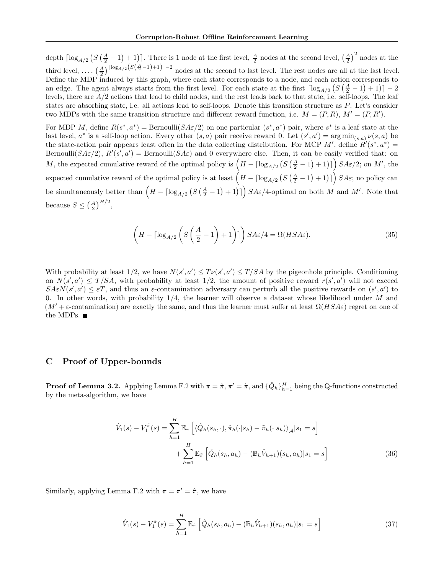depth  $\lceil \log_{A/2} (S(\frac{A}{2}-1)+1) \rceil$ . There is 1 node at the first level,  $\frac{A}{2}$  nodes at the second level,  $\left(\frac{A}{2}\right)^2$  nodes at the third level, ...,  $\left(\frac{A}{2}\right)^{\lceil \log_{A/2} (S(\frac{A}{2}-1)+1) \rceil-2}$  nodes at the second to last level. The rest nodes are all at the last level. Define the MDP induced by this graph, where each state corresponds to a node, and each action corresponds to an edge. The agent always starts from the first level. For each state at the first  $\lceil \log_{A/2} (S(\frac{A}{2}-1)+1) \rceil - 2$ levels, there are  $A/2$  actions that lead to child nodes, and the rest leads back to that state, i.e. self-loops. The leaf states are absorbing state, i.e. all actions lead to self-loops. Denote this transition structure as P. Let's consider two MDPs with the same transition structure and different reward function, i.e.  $M = (P, R)$ ,  $M' = (P, R')$ .

For MDP M, define  $R(s^*, a^*) = \text{Bernoulli}(SA\varepsilon/2)$  on one particular  $(s^*, a^*)$  pair, where  $s^*$  is a leaf state at the last level,  $a^*$  is a self-loop action. Every other  $(s, a)$  pair receive reward 0. Let  $(s', a') = \arg \min_{(s, a)} \nu(s, a)$  be the state-action pair appears least often in the data collecting distribution. For MCP M', define  $R'(s^*, a^*)$  = Bernoulli( $S A \varepsilon/2$ ),  $R'(s', a') = \text{Bernoulli}(S A \varepsilon)$  and 0 everywhere else. Then, it can be easily verified that: on M, the expected cumulative reward of the optimal policy is  $(H - \lceil \log_{A/2} (S(\frac{A}{2} - 1) + 1) \rceil)$   $SA\varepsilon/2$ ; on M', the expected cumulative reward of the optimal policy is at least  $(I - \lceil \log_{A/2} (S(\frac{A}{2} - 1) + 1) \rceil) SA \varepsilon$ ; no policy can be simultaneously better than  $(H - \lceil \log_{A/2} (S(\frac{A}{2} - 1) + 1) \rceil)$   $SA\varepsilon/4$ -optimal on both M and M'. Note that because  $S \leq (\frac{A}{2})^{H/2}$ ,

$$
\left(H - \lceil \log_{A/2} \left( S\left(\frac{A}{2} - 1\right) + 1 \right) \rceil \right) S A \varepsilon / 4 = \Omega(H S A \varepsilon). \tag{35}
$$

With probability at least  $1/2$ , we have  $N(s', a') \leq T \nu(s', a') \leq T / SA$  by the pigeonhole principle. Conditioning on  $N(s', a') \leq T/SA$ , with probability at least 1/2, the amount of positive reward  $r(s', a')$  will not exceed  $S A \varepsilon N(s', a') \leq \varepsilon T$ , and thus an  $\varepsilon$ -contamination adversary can perturb all the positive rewards on  $(s', a')$  to 0. In other words, with probability  $1/4$ , the learner will observe a dataset whose likelihood under  $M$  and  $(M' + \varepsilon$ -contamination) are exactly the same, and thus the learner must suffer at least  $\Omega(HSA\varepsilon)$  regret on one of the MDPs.  $\blacksquare$ 

## C Proof of Upper-bounds

**Proof of Lemma 3.2.** Applying Lemma F.2 with  $\pi = \hat{\pi}$ ,  $\pi' = \tilde{\pi}$ , and  $\{\hat{Q}_h\}_{h=1}^H$  being the Q-functions constructed by the meta-algorithm, we have

$$
\hat{V}_1(s) - V_1^{\tilde{\pi}}(s) = \sum_{h=1}^H \mathbb{E}_{\tilde{\pi}} \left[ \langle \hat{Q}_h(s_h, \cdot), \hat{\pi}_h(\cdot | s_h) - \tilde{\pi}_h(\cdot | s_h) \rangle_{\mathcal{A}} | s_1 = s \right]
$$

$$
+ \sum_{h=1}^H \mathbb{E}_{\tilde{\pi}} \left[ \hat{Q}_h(s_h, a_h) - (\mathbb{B}_h \hat{V}_{h+1})(s_h, a_h) | s_1 = s \right]
$$
(36)

Similarly, applying Lemma F.2 with  $\pi = \pi' = \hat{\pi}$ , we have

$$
\hat{V}_1(s) - V_1^{\hat{\pi}}(s) = \sum_{h=1}^{H} \mathbb{E}_{\hat{\pi}} \left[ \hat{Q}_h(s_h, a_h) - (\mathbb{B}_h \hat{V}_{h+1})(s_h, a_h) | s_1 = s \right]
$$
\n(37)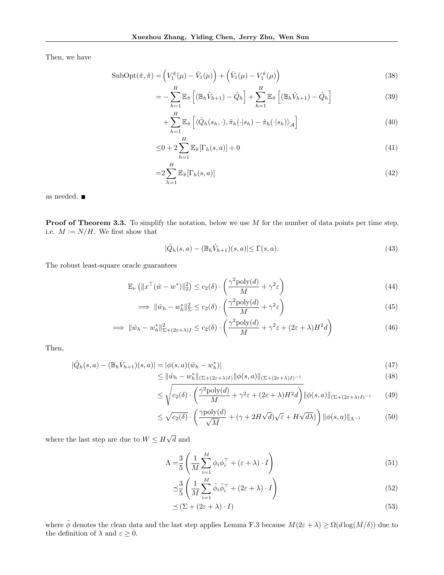Then, we have

$$
\text{SubOpt}(\hat{\pi}, \tilde{\pi}) = \left(V_1^{\hat{\pi}}(\mu) - \hat{V}_1(\mu)\right) + \left(\hat{V}_1(\mu) - V_1^{\hat{\pi}}(\mu)\right)
$$
\n(38)

$$
= -\sum_{h=1}^{H} \mathbb{E}_{\tilde{\pi}} \left[ \left( \mathbb{B}_h \hat{V}_{h+1} \right) - \hat{Q}_h \right] + \sum_{h=1}^{H} \mathbb{E}_{\tilde{\pi}} \left[ \left( \mathbb{B}_h \hat{V}_{h+1} \right) - \hat{Q}_h \right]
$$
(39)

$$
+\sum_{h=1}^{H} \mathbb{E}_{\tilde{\pi}}\left[\langle \hat{Q}_h(s_h,\cdot),\tilde{\pi}_h(\cdot|s_h)-\hat{\pi}_h(\cdot|s_h)\rangle_{\mathcal{A}}\right]
$$
(40)

$$
\leq 0 + 2\sum_{h=1}^{H} \mathbb{E}_{\tilde{\pi}}[\Gamma_h(s, a)] + 0 \tag{41}
$$

$$
=2\sum_{h=1}^{H}\mathbb{E}_{\tilde{\pi}}[\Gamma_h(s,a)]\tag{42}
$$

as needed.  $\blacksquare$ 

**Proof of Theorem 3.3.** To simplify the notation, below we use  $M$  for the number of data points per time step, i.e.  $M := N/H$ . We first show that

$$
|\hat{Q}_h(s,a) - (\mathbb{B}_h \hat{V}_{h+1})(s,a)| \le \Gamma(s,a). \tag{43}
$$

The robust least-square oracle guarantees

$$
\mathbb{E}_{\nu} \left( \|x^{\top} (\hat{w} - w^*)\|_2^2 \right) \leq c_2(\delta) \cdot \left( \frac{\gamma^2 \text{poly}(d)}{M} + \gamma^2 \varepsilon \right)
$$
(44)

$$
\implies \|\hat{w}_h - w_h^*\|_{\Sigma}^2 \le c_2(\delta) \cdot \left(\frac{\gamma^2 \text{poly}(d)}{M} + \gamma^2 \varepsilon\right)
$$
\n(45)

$$
\implies \|\hat{w}_h - w_h^*\|_{\Sigma + (2\varepsilon + \lambda)I}^2 \le c_2(\delta) \cdot \left(\frac{\gamma^2 \text{poly}(d)}{M} + \gamma^2 \varepsilon + (2\varepsilon + \lambda)H^2 d\right) \tag{46}
$$

Then,

$$
|\hat{Q}_h(s,a) - (\mathbb{B}_h \hat{V}_{h+1})(s,a)| = |\phi(s,a)(\hat{w}_h - w_h^*)|
$$
\n(47)

$$
\leq \|\hat{w}_h - w_h^*\|_{(\Sigma + (2\varepsilon + \lambda)I)} \|\phi(s, a)\|_{(\Sigma + (2\varepsilon + \lambda)I)^{-1}} \tag{48}
$$

$$
\leq \sqrt{c_2(\delta) \cdot \left(\frac{\gamma^2 \text{poly}(d)}{M} + \gamma^2 \varepsilon + (2\varepsilon + \lambda)H^2 d\right)} ||\phi(s, a)||_{(\Sigma + (2\varepsilon + \lambda)I)^{-1}} \tag{49}
$$

$$
\leq \sqrt{c_2(\delta)} \cdot \left(\frac{\gamma \text{poly}(d)}{\sqrt{M}} + (\gamma + 2H\sqrt{d})\sqrt{\varepsilon} + H\sqrt{d\lambda}\right) \|\phi(s, a)\|_{\Lambda^{-1}} \tag{50}
$$

where the last step are due to  $W \leq H$ √ d and

$$
\Lambda = \frac{3}{5} \left( \frac{1}{M} \sum_{i=1}^{M} \phi_i \phi_i^{\top} + (\varepsilon + \lambda) \cdot I \right)
$$
\n(51)

$$
\preceq \frac{3}{5} \left( \frac{1}{M} \sum_{i=1}^{M} \tilde{\phi}_i \tilde{\phi}_i^{\top} + (2\varepsilon + \lambda) \cdot I \right)
$$
\n(52)

$$
\preceq (\Sigma + (2\varepsilon + \lambda) \cdot I) \tag{53}
$$

where  $\tilde{\phi}$  denotes the clean data and the last step applies Lemma F.3 because  $M(2\varepsilon + \lambda) \ge \Omega(d \log(M/\delta))$  due to the definition of  $\lambda$  and  $\varepsilon \geq 0$ .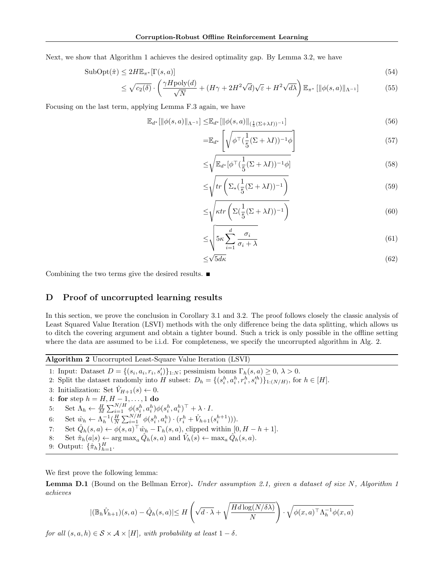Next, we show that Algorithm 1 achieves the desired optimality gap. By Lemma 3.2, we have

$$
\text{SubOpt}(\hat{\pi}) \le 2H\mathbb{E}_{\pi^*}[\Gamma(s,a)]\tag{54}
$$

$$
\leq \sqrt{c_2(\delta)} \cdot \left( \frac{\gamma H \text{poly}(d)}{\sqrt{N}} + (H\gamma + 2H^2\sqrt{d})\sqrt{\varepsilon} + H^2\sqrt{d\lambda} \right) \mathbb{E}_{\pi^*} \left[ \| \phi(s, a) \|_{\Lambda^{-1}} \right] \tag{55}
$$

Focusing on the last term, applying Lemma F.3 again, we have

$$
\mathbb{E}_{d^*}[\|\phi(s,a)\|_{\Lambda^{-1}}] \leq \mathbb{E}_{d^*}[\|\phi(s,a)\|_{(\frac{1}{5}(\Sigma+\lambda I))^{-1}}] \tag{56}
$$

$$
=\mathbb{E}_{d^*}\left[\sqrt{\phi^{\top}(\frac{1}{5}(\Sigma+\lambda I))^{-1}\phi}\right]
$$
\n(57)

$$
\leq \sqrt{\mathbb{E}_{d^*}[\phi^\top(\frac{1}{5}(\Sigma+\lambda I))^{-1}\phi]}
$$
\n(58)

$$
\leq \sqrt{tr\left(\Sigma_*(\frac{1}{5}(\Sigma+\lambda I))^{-1}\right)}\tag{59}
$$

$$
\leq \sqrt{\kappa tr\left(\Sigma(\frac{1}{5}(\Sigma+\lambda I))^{-1}\right)}\tag{60}
$$

$$
\leq \sqrt{5\kappa \sum_{i=1}^{d} \frac{\sigma_i}{\sigma_i + \lambda}}
$$
\n(61)

$$
\leq \sqrt{5d\kappa} \tag{62}
$$

Combining the two terms give the desired results.

## D Proof of uncorrupted learning results

In this section, we prove the conclusion in Corollary 3.1 and 3.2. The proof follows closely the classic analysis of Least Squared Value Iteration (LSVI) methods with the only difference being the data splitting, which allows us to ditch the covering argument and obtain a tighter bound. Such a trick is only possible in the offline setting where the data are assumed to be i.i.d. For completeness, we specify the uncorrupted algorithm in Alg. 2.

Algorithm 2 Uncorrupted Least-Square Value Iteration (LSVI)

1: Input: Dataset  $D = \{(s_i, a_i, r_i, s'_i)\}_{1:N}$ ; pessimism bonus  $\Gamma_h(s, a) \geq 0, \lambda > 0$ .

2: Split the dataset randomly into H subset:  $D_h = \{(s_i^h, a_i^h, r_i^h, s_i^h)\}_{1:(N/H)}$ , for  $h \in [H]$ .

3: Initialization: Set  $\hat{V}_{H+1}(s) \leftarrow 0$ .

4: for step  $h = H, H - 1, ..., 1$  do

5: Set  $\Lambda_h \leftarrow \frac{H}{M} \sum_{i=1}^{N/H} \phi(s_i^h, a_i^h) \phi(s_i^h, a_i^h)^\top + \lambda \cdot I$ .

6: Set  $\hat{w}_h \leftarrow \Lambda_h^{-1}(\frac{H}{N} \sum_{i=1}^{N/H} \phi(s_i^h, a_i^h) \cdot (r_i^h + \hat{V}_{h+1}(s_i^{h+1}))).$ 

7: Set 
$$
\hat{Q}_h(s, a) \leftarrow \phi(s, a)^\top \hat{w}_h - \Gamma_h(s, a)
$$
, clipped within  $[0, H - h + 1]$ .

- 8: Set  $\hat{\pi}_h(a|s) \leftarrow \arg \max_a \hat{Q}_h(s, a)$  and  $\hat{V}_h(s) \leftarrow \max_a \hat{Q}_h(s, a)$ .
- 9: Output:  $\{\hat{\pi}_h\}_{h=1}^H$ .

We first prove the following lemma:

**Lemma D.1** (Bound on the Bellman Error). Under assumption 2.1, given a dataset of size N, Algorithm 1 achieves

$$
|(\mathbb{B}_h \hat{V}_{h+1})(s, a) - \hat{Q}_h(s, a)| \le H\left(\sqrt{d \cdot \lambda} + \sqrt{\frac{Hd \log(N/\delta \lambda)}{N}}\right) \cdot \sqrt{\phi(x, a)^\top \Lambda_h^{-1} \phi(x, a)}
$$

for all  $(s, a, h) \in S \times A \times [H]$ , with probability at least  $1 - \delta$ .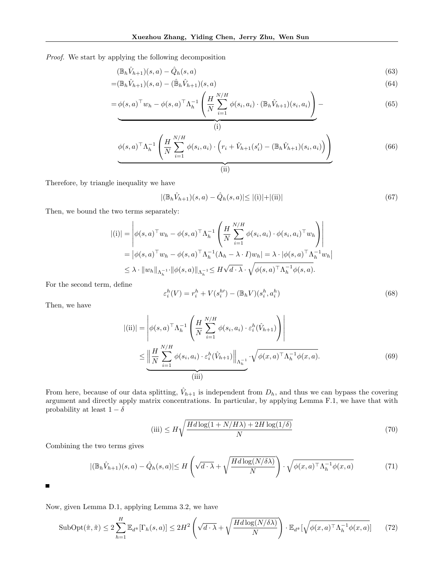Proof. We start by applying the following decomposition

$$
(\mathbb{B}_h \hat{V}_{h+1})(s, a) - \hat{Q}_h(s, a) \tag{63}
$$

$$
=(\mathbb{B}_h\hat{V}_{h+1})(s,a) - (\hat{\mathbb{B}}_h\hat{V}_{h+1})(s,a)
$$
\n(64)

$$
= \phi(s, a)^{\top} w_h - \phi(s, a)^{\top} \Lambda_h^{-1} \left( \frac{H}{N} \sum_{i=1}^{N/H} \phi(s_i, a_i) \cdot (\mathbb{B}_h \hat{V}_{h+1})(s_i, a_i) \right) - \tag{65}
$$

$$
\phi(s,a)^{\top} \Lambda_h^{-1} \left( \frac{H}{N} \sum_{i=1}^{N/H} \phi(s_i, a_i) \cdot \left( r_i + \hat{V}_{h+1}(s'_i) - (\mathbb{B}_h \hat{V}_{h+1})(s_i, a_i) \right) \right)
$$
(66)

Therefore, by triangle inequality we have

$$
|(\mathbb{B}_h \hat{V}_{h+1})(s, a) - \hat{Q}_h(s, a)| \le |(\mathbf{i})| + |(\mathbf{ii})|
$$
\n(67)

Then, we bound the two terms separately:

$$
|(i)| = \left| \phi(s, a)^\top w_h - \phi(s, a)^\top \Lambda_h^{-1} \left( \frac{H}{N} \sum_{i=1}^{N/H} \phi(s_i, a_i) \cdot \phi(s_i, a_i)^\top w_h \right) \right|
$$
  
=  $|\phi(s, a)^\top w_h - \phi(s, a)^\top \Lambda_h^{-1} (\Lambda_h - \lambda \cdot I) w_h| = \lambda \cdot |\phi(s, a)^\top \Lambda_h^{-1} w_h|$   
 $\leq \lambda \cdot ||w_h||_{\Lambda_h^{-1}} \cdot ||\phi(s, a)||_{\Lambda_h^{-1}} \leq H \sqrt{d \cdot \lambda} \cdot \sqrt{\phi(s, a)^\top \Lambda_h^{-1} \phi(s, a)}.$ 

For the second term, define

$$
\varepsilon_i^h(V) = r_i^h + V(s_i^{h'}) - (\mathbb{B}_h V)(s_i^h, a_i^h)
$$
\n(68)

Then, we have

$$
|(\text{ii})| = \left| \phi(s, a)^{\top} \Lambda_h^{-1} \left( \frac{H}{N} \sum_{i=1}^{N/H} \phi(s_i, a_i) \cdot \varepsilon_i^h(\hat{V}_{h+1}) \right) \right|
$$
  

$$
\leq \underbrace{\left\| \frac{H}{N} \sum_{i=1}^{N/H} \phi(s_i, a_i) \cdot \varepsilon_i^h(\hat{V}_{h+1}) \right\|_{\Lambda_h^{-1}}}_{\text{(iii)}} \cdot \sqrt{\phi(x, a)^{\top} \Lambda_h^{-1} \phi(x, a)}.
$$
 (69)

From here, because of our data splitting,  $\hat{V}_{h+1}$  is independent from  $D_h$ , and thus we can bypass the covering argument and directly apply matrix concentrations. In particular, by applying Lemma F.1, we have that with probability at least  $1 - \delta$ 

(iii) 
$$
\leq H \sqrt{\frac{Hd \log(1 + N/H\lambda) + 2H \log(1/\delta)}{N}}
$$
(70)

Combining the two terms gives

$$
|(\mathbb{B}_h \hat{V}_{h+1})(s, a) - \hat{Q}_h(s, a)| \le H\left(\sqrt{d \cdot \lambda} + \sqrt{\frac{Hd \log(N/\delta \lambda)}{N}}\right) \cdot \sqrt{\phi(x, a)^\top \Lambda_h^{-1} \phi(x, a)}\tag{71}
$$

 $\blacksquare$ 

Now, given Lemma D.1, applying Lemma 3.2, we have

$$
\text{SubOpt}(\hat{\pi}, \tilde{\pi}) \le 2 \sum_{h=1}^{H} \mathbb{E}_{d^{\tilde{\pi}}} [\Gamma_h(s, a)] \le 2H^2 \left( \sqrt{d \cdot \lambda} + \sqrt{\frac{Hd \log(N/\delta \lambda)}{N}} \right) \cdot \mathbb{E}_{d^{\tilde{\pi}}} [\sqrt{\phi(x, a)^\top \Lambda_h^{-1} \phi(x, a)}] \tag{72}
$$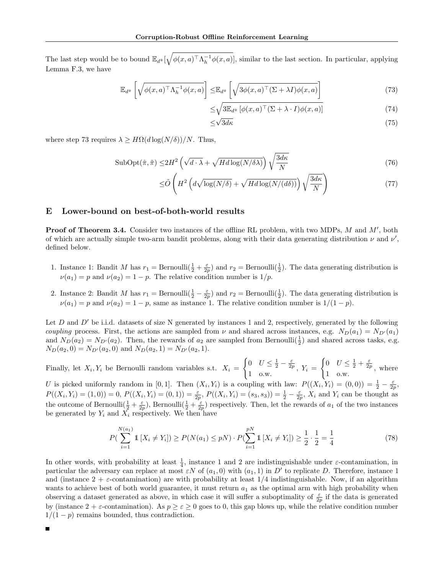The last step would be to bound  $\mathbb{E}_{d^{\tilde{\pi}}}[\sqrt{\phi(x,a)^{\top}\Lambda_h^{-1}\phi(x,a)}]$ , similar to the last section. In particular, applying Lemma F.3, we have

$$
\mathbb{E}_{d^{\tilde{\pi}}} \left[ \sqrt{\phi(x, a)^{\top} \Lambda_h^{-1} \phi(x, a)} \right] \leq \mathbb{E}_{d^{\tilde{\pi}}} \left[ \sqrt{3 \phi(x, a)^{\top} (\Sigma + \lambda I) \phi(x, a)} \right]
$$
(73)

$$
\leq \sqrt{3\mathbb{E}_{d^{\tilde{\pi}}}\left[\phi(x,a)^{\top}(\Sigma+\lambda\cdot I)\phi(x,a)\right]}
$$
(74)  

$$
\leq \sqrt{3d\kappa}
$$
(75)

$$
\sqrt{3d\kappa} \tag{75}
$$

where step 73 requires  $\lambda \geq H\Omega(d\log(N/\delta))/N$ . Thus,

$$
\text{SubOpt}(\hat{\pi}, \tilde{\pi}) \le 2H^2 \left(\sqrt{d \cdot \lambda} + \sqrt{Hd \log(N/\delta\lambda)}\right) \sqrt{\frac{3d\kappa}{N}}\tag{76}
$$

$$
\leq \tilde{O}\left(H^2\left(d\sqrt{\log(N/\delta)} + \sqrt{Hd\log(N/(d\delta))}\right)\sqrt{\frac{3d\kappa}{N}}\right) \tag{77}
$$

#### E Lower-bound on best-of-both-world results

**Proof of Theorem 3.4.** Consider two instances of the offline RL problem, with two MDPs,  $M$  and  $M'$ , both of which are actually simple two-arm bandit problems, along with their data generating distribution  $\nu$  and  $\nu'$ , defined below.

- 1. Instance 1: Bandit M has  $r_1 = \text{Bernoulli}(\frac{1}{2} + \frac{\varepsilon}{2p})$  and  $r_2 = \text{Bernoulli}(\frac{1}{2})$ . The data generating distribution is  $\nu(a_1) = p$  and  $\nu(a_2) = 1 - p$ . The relative condition number is  $1/p$ .
- 2. Instance 2: Bandit M has  $r_1 = \text{Bernoulli}(\frac{1}{2} \frac{\varepsilon}{2p})$  and  $r_2 = \text{Bernoulli}(\frac{1}{2})$ . The data generating distribution is  $\nu(a_1) = p$  and  $\nu(a_2) = 1 - p$ , same as instance 1. The relative condition number is  $1/(1 - p)$ .

Let D and  $D'$  be i.i.d. datasets of size N generated by instances 1 and 2, respectively, generated by the following coupling process. First, the actions are sampled from  $\nu$  and shared across instances, e.g.  $N_D(a_1) = N_{D'}(a_1)$ and  $N_D(a_2) = N_{D'}(a_2)$ . Then, the rewards of  $a_2$  are sampled from Bernoulli $(\frac{1}{2})$  and shared across tasks, e.g.  $N_D(a_2, 0) = N_{D'}(a_2, 0)$  and  $N_D(a_2, 1) = N_{D'}(a_2, 1)$ .

Finally, let  $X_i, Y_i$  be Bernoulli random variables s.t.  $X_i =$  $\int 0$   $U \leq \frac{1}{2} - \frac{\varepsilon}{2p}$  $\begin{array}{cc} 0 & 0 & -2 \\ 1 & 0. \end{array}$   $\begin{array}{cc} 2p \\ 1 & k \end{array}$  $\int 0$   $U \leq \frac{1}{2} + \frac{\varepsilon}{2p}$  $\begin{array}{cc} 0 & 0 \\ 1 & 0. \end{array}$  where

U is picked uniformly random in [0,1]. Then  $(X_i, Y_i)$  is a coupling with law:  $P((X_i, Y_i) = (0, 0)) = \frac{1}{2} - \frac{\varepsilon}{2p}$ ,  $P((X_i,Y_i)=(1,0))=0, P((X_i,Y_i)=(0,1))=\frac{\varepsilon}{2p}, P((X_i,Y_i)=(s_3,s_3))=\frac{1}{2}-\frac{\varepsilon}{2p}, X_i$  and  $Y_i$  can be thought as the outcome of Bernoulli $(\frac{1}{2} + \frac{\varepsilon}{2p})$ , Bernoulli $(\frac{1}{2} + \frac{\varepsilon}{2p})$  respectively. Then, let the rewards of  $a_1$  of the two instances be generated by  $Y_i$  and  $X_i$  respectively. We then have

$$
P\left(\sum_{i=1}^{N(a_1)} \mathbb{1}[X_i \neq Y_i]\right) \ge P(N(a_1) \le pN) \cdot P\left(\sum_{i=1}^{pN} \mathbb{1}[X_i \neq Y_i]\right) \ge \frac{1}{2} \cdot \frac{1}{2} = \frac{1}{4}
$$
\n(78)

In other words, with probability at least  $\frac{1}{4}$ , instance 1 and 2 are indistinguishable under  $\varepsilon$ -contamination, in particular the adversary can replace at most  $\epsilon N$  of  $(a_1, 0)$  with  $(a_1, 1)$  in D' to replicate D. Therefore, instance 1 and (instance  $2 + \varepsilon$ -contamination) are with probability at least  $1/4$  indistinguishable. Now, if an algorithm wants to achieve best of both world guarantee, it must return  $a_1$  as the optimal arm with high probability when observing a dataset generated as above, in which case it will suffer a suboptimality of  $\frac{\varepsilon}{2p}$  if the data is generated by (instance  $2 + \varepsilon$ -contamination). As  $p \geq \varepsilon \geq 0$  goes to 0, this gap blows up, while the relative condition number  $1/(1-p)$  remains bounded, thus contradiction.